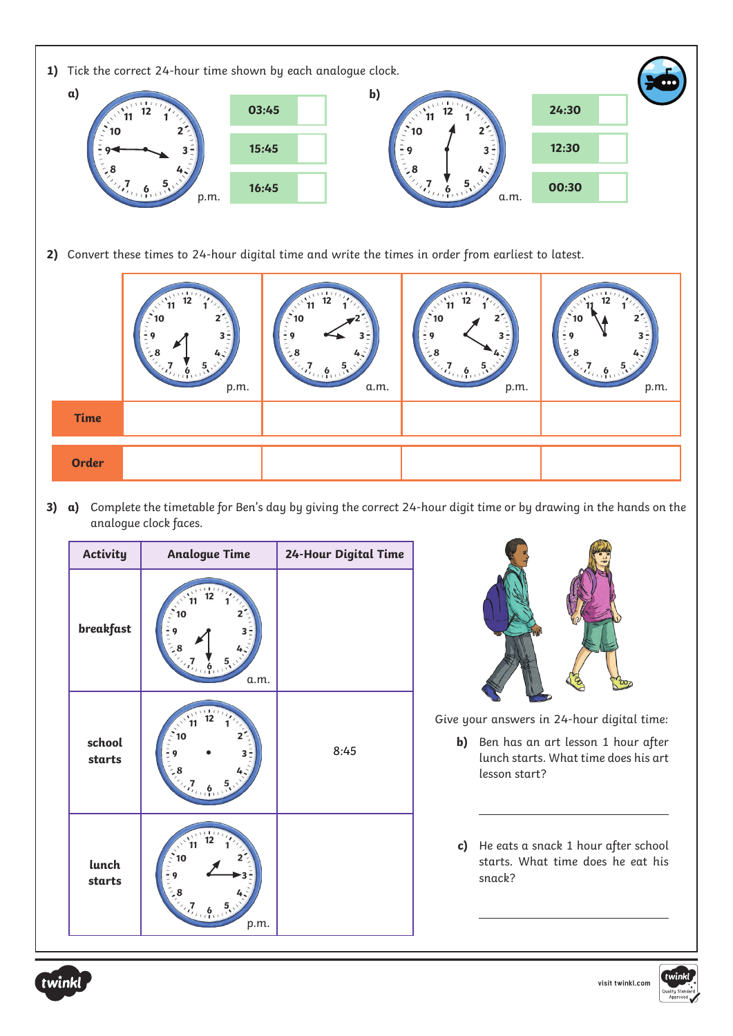

**a)** Complete the timetable for Ben's day by giving the correct 24-hour digit time or by drawing in the hands on the analogue clock faces.

| <b>Activity</b>  | <b>Analogue Time</b> | 24-Hour Digital Time |                                                                                                                                                 |
|------------------|----------------------|----------------------|-------------------------------------------------------------------------------------------------------------------------------------------------|
| breakfast        | a.m.                 |                      |                                                                                                                                                 |
| school<br>starts | 10                   | 8:45                 | Give your answers in 24-hour digital time:<br>Ben has an art lesson 1 hour after<br>b)<br>lunch starts. What time does his art<br>lesson start? |
| lunch<br>starts  | p.m.                 |                      | He eats a snack 1 hour after school<br>$\mathsf{c})$<br>starts. What time does he eat his<br>snack?                                             |



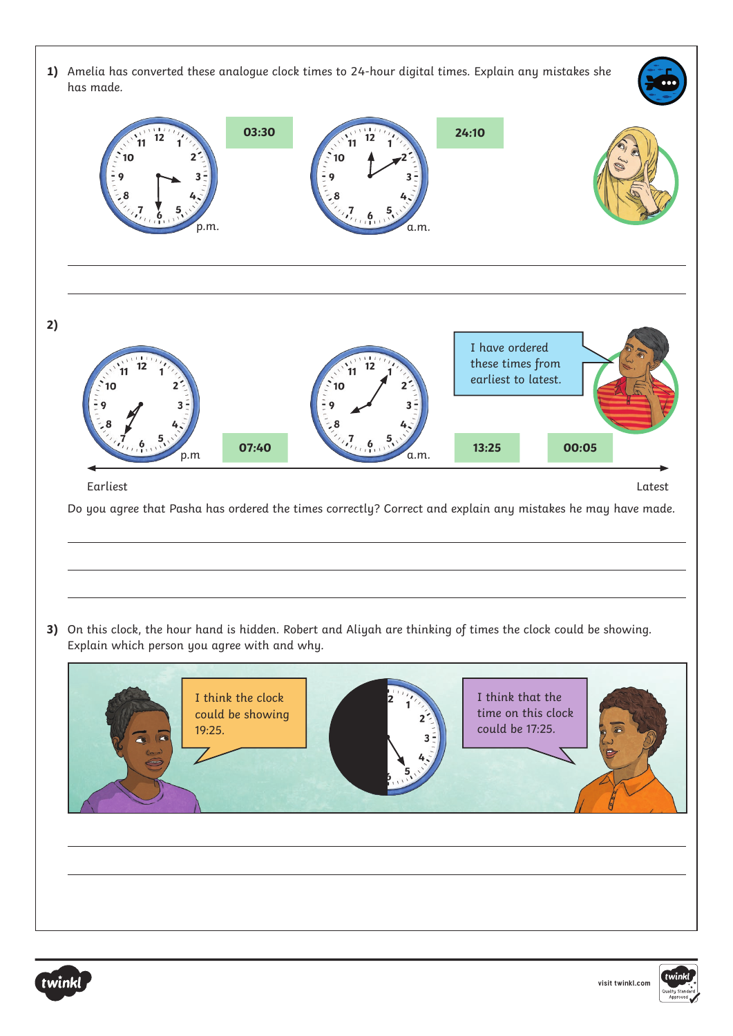